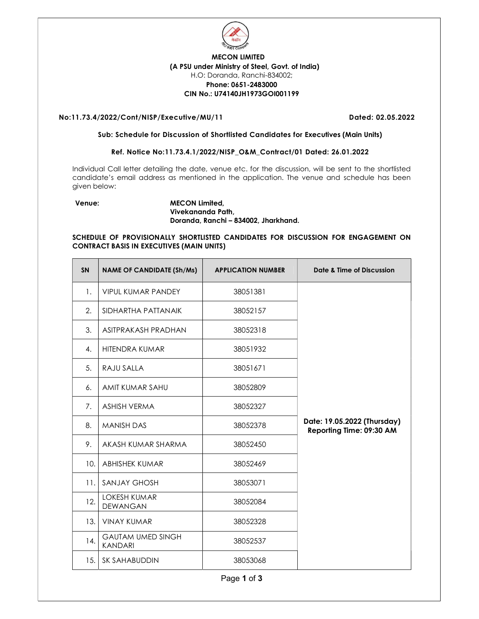

# MECON LIMITED (A PSU under Ministry of Steel, Govt. of India) H.O: Doranda, Ranchi-834002; Phone: 0651-2483000 CIN No.: U74140JH1973GOI001199

## No:11.73.4/2022/Cont/NISP/Executive/MU/11 Dated: 02.05.2022

#### Sub: Schedule for Discussion of Shortlisted Candidates for Executives (Main Units)

## Ref. Notice No:11.73.4.1/2022/NISP\_O&M\_Contract/01 Dated: 26.01.2022

Individual Call letter detailing the date, venue etc. for the discussion, will be sent to the shortlisted candidate's email address as mentioned in the application. The venue and schedule has been given below:

## Venue: MECON Limited, Vivekananda Path, Doranda, Ranchi – 834002, Jharkhand.

## SCHEDULE OF PROVISIONALLY SHORTLISTED CANDIDATES FOR DISCUSSION FOR ENGAGEMENT ON CONTRACT BASIS IN EXECUTIVES (MAIN UNITS)

| <b>SN</b> | <b>NAME OF CANDIDATE (Sh/Ms)</b>           | <b>APPLICATION NUMBER</b> | Date & Time of Discussion                               |
|-----------|--------------------------------------------|---------------------------|---------------------------------------------------------|
| 1.        | <b>VIPUL KUMAR PANDEY</b>                  | 38051381                  |                                                         |
| 2.        | SIDHARTHA PATTANAIK                        | 38052157                  |                                                         |
| 3.        | ASITPRAKASH PRADHAN                        | 38052318                  |                                                         |
| 4.        | <b>HITENDRA KUMAR</b>                      | 38051932                  |                                                         |
| 5.        | RAJU SALLA                                 | 38051671                  |                                                         |
| 6.        | AMIT KUMAR SAHU                            | 38052809                  |                                                         |
| 7.        | ASHISH VERMA                               | 38052327                  |                                                         |
| 8.        | <b>MANISH DAS</b>                          | 38052378                  | Date: 19.05.2022 (Thursday)<br>Reporting Time: 09:30 AM |
| 9.        | AKASH KUMAR SHARMA                         | 38052450                  |                                                         |
| 10.       | <b>ABHISHEK KUMAR</b>                      | 38052469                  |                                                         |
| 11.       | <b>SANJAY GHOSH</b>                        | 38053071                  |                                                         |
| 12.       | LOKESH KUMAR<br>DEWANGAN                   | 38052084                  |                                                         |
| 13.       | <b>VINAY KUMAR</b>                         | 38052328                  |                                                         |
| 14.       | <b>GAUTAM UMED SINGH</b><br><b>KANDARI</b> | 38052537                  |                                                         |
| 15.       | SK SAHABUDDIN                              | 38053068                  |                                                         |

Page 1 of 3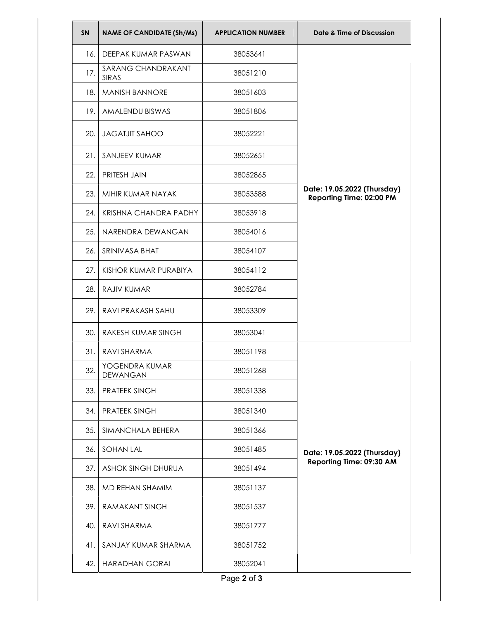| <b>SN</b> | <b>NAME OF CANDIDATE (Sh/Ms)</b> | <b>APPLICATION NUMBER</b> | Date & Time of Discussion                               |
|-----------|----------------------------------|---------------------------|---------------------------------------------------------|
| 16.       | DEEPAK KUMAR PASWAN              | 38053641                  | Date: 19.05.2022 (Thursday)<br>Reporting Time: 02:00 PM |
| 17.       | SARANG CHANDRAKANT<br>SIRAS      | 38051210                  |                                                         |
| 18.       | <b>MANISH BANNORE</b>            | 38051603                  |                                                         |
| 19.       | AMALENDU BISWAS                  | 38051806                  |                                                         |
| 20.       | <b>JAGATJIT SAHOO</b>            | 38052221                  |                                                         |
| 21.       | SANJEEV KUMAR                    | 38052651                  |                                                         |
| 22.       | PRITESH JAIN                     | 38052865                  |                                                         |
| 23.       | MIHIR KUMAR NAYAK                | 38053588                  |                                                         |
| 24.       | KRISHNA CHANDRA PADHY            | 38053918                  |                                                         |
| 25.       | NARENDRA DEWANGAN                | 38054016                  |                                                         |
| 26.       | SRINIVASA BHAT                   | 38054107                  |                                                         |
| 27.       | KISHOR KUMAR PURABIYA            | 38054112                  |                                                         |
| 28.       | RAJIV KUMAR                      | 38052784                  |                                                         |
| 29.       | RAVI PRAKASH SAHU                | 38053309                  |                                                         |
| 30.       | RAKESH KUMAR SINGH               | 38053041                  |                                                         |
| 31.1      | RAVI SHARMA                      | 38051198                  |                                                         |
| 32.       | YOGENDRA KUMAR<br>DEWANGAN       | 38051268                  |                                                         |
| 33.       | <b>PRATEEK SINGH</b>             | 38051338                  |                                                         |
| 34.       | <b>PRATEEK SINGH</b>             | 38051340                  | Date: 19.05.2022 (Thursday)<br>Reporting Time: 09:30 AM |
| 35.       | SIMANCHALA BEHERA                | 38051366                  |                                                         |
| 36.       | <b>SOHAN LAL</b>                 | 38051485                  |                                                         |
| 37.       | <b>ASHOK SINGH DHURUA</b>        | 38051494                  |                                                         |
| 38.       | MD REHAN SHAMIM                  | 38051137                  |                                                         |
| 39.       | <b>RAMAKANT SINGH</b>            | 38051537                  |                                                         |
| 40.       | RAVI SHARMA                      | 38051777                  |                                                         |
| 41.       | SANJAY KUMAR SHARMA              | 38051752                  |                                                         |
| 42.       | <b>HARADHAN GORAI</b>            | 38052041                  |                                                         |
|           |                                  | Page 2 of 3               |                                                         |